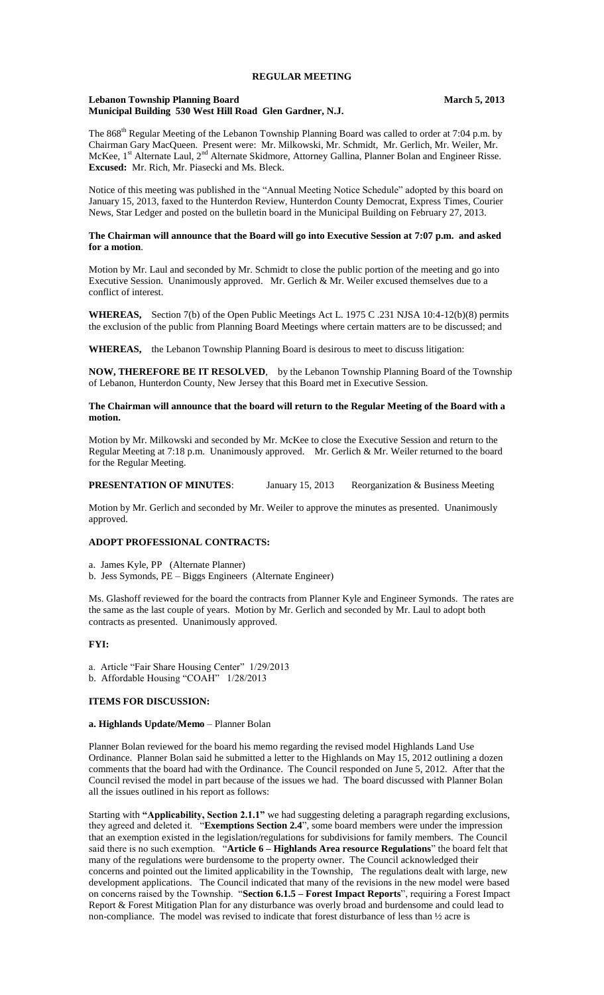#### **Lebanon Township Planning Board March 5, 2013 Municipal Building 530 West Hill Road Glen Gardner, N.J.**

The 868<sup>th</sup> Regular Meeting of the Lebanon Township Planning Board was called to order at 7:04 p.m. by Chairman Gary MacQueen. Present were: Mr. Milkowski, Mr. Schmidt, Mr. Gerlich, Mr. Weiler, Mr. McKee, 1<sup>st</sup> Alternate Laul, 2<sup>nd</sup> Alternate Skidmore, Attorney Gallina, Planner Bolan and Engineer Risse. **Excused:** Mr. Rich, Mr. Piasecki and Ms. Bleck.

Notice of this meeting was published in the "Annual Meeting Notice Schedule" adopted by this board on January 15, 2013, faxed to the Hunterdon Review, Hunterdon County Democrat, Express Times, Courier News, Star Ledger and posted on the bulletin board in the Municipal Building on February 27, 2013.

## **The Chairman will announce that the Board will go into Executive Session at 7:07 p.m. and asked for a motion**.

Motion by Mr. Laul and seconded by Mr. Schmidt to close the public portion of the meeting and go into Executive Session. Unanimously approved. Mr. Gerlich & Mr. Weiler excused themselves due to a conflict of interest.

**WHEREAS,** Section 7(b) of the Open Public Meetings Act L. 1975 C .231 NJSA 10:4-12(b)(8) permits the exclusion of the public from Planning Board Meetings where certain matters are to be discussed; and

**WHEREAS,** the Lebanon Township Planning Board is desirous to meet to discuss litigation:

**NOW, THEREFORE BE IT RESOLVED**, by the Lebanon Township Planning Board of the Township of Lebanon, Hunterdon County, New Jersey that this Board met in Executive Session.

#### **The Chairman will announce that the board will return to the Regular Meeting of the Board with a motion.**

Motion by Mr. Milkowski and seconded by Mr. McKee to close the Executive Session and return to the Regular Meeting at 7:18 p.m. Unanimously approved. Mr. Gerlich & Mr. Weiler returned to the board for the Regular Meeting.

**PRESENTATION OF MINUTES:** January 15, 2013 Reorganization & Business Meeting

Motion by Mr. Gerlich and seconded by Mr. Weiler to approve the minutes as presented. Unanimously approved.

## **ADOPT PROFESSIONAL CONTRACTS:**

a. James Kyle, PP (Alternate Planner)

b. Jess Symonds, PE – Biggs Engineers (Alternate Engineer)

Ms. Glashoff reviewed for the board the contracts from Planner Kyle and Engineer Symonds. The rates are the same as the last couple of years. Motion by Mr. Gerlich and seconded by Mr. Laul to adopt both contracts as presented. Unanimously approved.

## **FYI:**

a. Article "Fair Share Housing Center" 1/29/2013

b. Affordable Housing "COAH" 1/28/2013

#### **ITEMS FOR DISCUSSION:**

#### **a. Highlands Update/Memo** – Planner Bolan

Planner Bolan reviewed for the board his memo regarding the revised model Highlands Land Use Ordinance. Planner Bolan said he submitted a letter to the Highlands on May 15, 2012 outlining a dozen comments that the board had with the Ordinance. The Council responded on June 5, 2012. After that the Council revised the model in part because of the issues we had. The board discussed with Planner Bolan all the issues outlined in his report as follows:

Starting with **"Applicability, Section 2.1.1"** we had suggesting deleting a paragraph regarding exclusions, they agreed and deleted it. "**Exemptions Section 2.4**", some board members were under the impression that an exemption existed in the legislation/regulations for subdivisions for family members. The Council said there is no such exemption. "**Article 6 – Highlands Area resource Regulations**" the board felt that many of the regulations were burdensome to the property owner. The Council acknowledged their concerns and pointed out the limited applicability in the Township, The regulations dealt with large, new development applications. The Council indicated that many of the revisions in the new model were based on concerns raised by the Township. "**Section 6.1.5 – Forest Impact Reports**", requiring a Forest Impact Report & Forest Mitigation Plan for any disturbance was overly broad and burdensome and could lead to non-compliance. The model was revised to indicate that forest disturbance of less than ½ acre is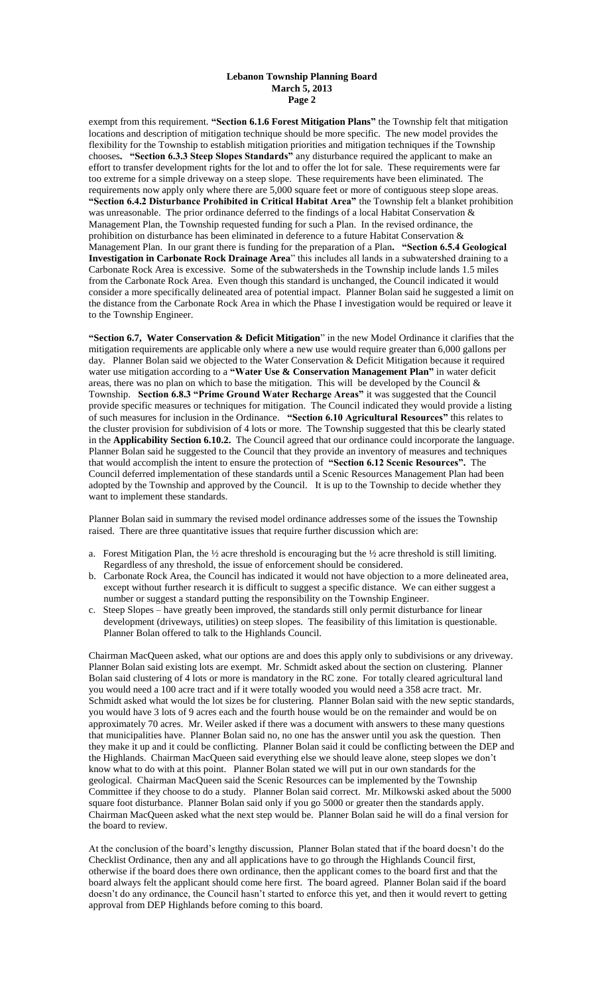## **Lebanon Township Planning Board March 5, 2013 Page 2**

exempt from this requirement. **"Section 6.1.6 Forest Mitigation Plans"** the Township felt that mitigation locations and description of mitigation technique should be more specific. The new model provides the flexibility for the Township to establish mitigation priorities and mitigation techniques if the Township chooses**. "Section 6.3.3 Steep Slopes Standards"** any disturbance required the applicant to make an effort to transfer development rights for the lot and to offer the lot for sale. These requirements were far too extreme for a simple driveway on a steep slope. These requirements have been eliminated. The requirements now apply only where there are 5,000 square feet or more of contiguous steep slope areas. **"Section 6.4.2 Disturbance Prohibited in Critical Habitat Area"** the Township felt a blanket prohibition was unreasonable. The prior ordinance deferred to the findings of a local Habitat Conservation & Management Plan, the Township requested funding for such a Plan. In the revised ordinance, the prohibition on disturbance has been eliminated in deference to a future Habitat Conservation & Management Plan. In our grant there is funding for the preparation of a Plan**. "Section 6.5.4 Geological Investigation in Carbonate Rock Drainage Area**" this includes all lands in a subwatershed draining to a Carbonate Rock Area is excessive. Some of the subwatersheds in the Township include lands 1.5 miles from the Carbonate Rock Area. Even though this standard is unchanged, the Council indicated it would consider a more specifically delineated area of potential impact. Planner Bolan said he suggested a limit on the distance from the Carbonate Rock Area in which the Phase I investigation would be required or leave it to the Township Engineer.

**"Section 6.7, Water Conservation & Deficit Mitigation**" in the new Model Ordinance it clarifies that the mitigation requirements are applicable only where a new use would require greater than 6,000 gallons per day. Planner Bolan said we objected to the Water Conservation & Deficit Mitigation because it required water use mitigation according to a **"Water Use & Conservation Management Plan"** in water deficit areas, there was no plan on which to base the mitigation. This will be developed by the Council & Township. **Section 6.8.3 "Prime Ground Water Recharge Areas"** it was suggested that the Council provide specific measures or techniques for mitigation. The Council indicated they would provide a listing of such measures for inclusion in the Ordinance. **"Section 6.10 Agricultural Resources"** this relates to the cluster provision for subdivision of 4 lots or more. The Township suggested that this be clearly stated in the **Applicability Section 6.10.2.** The Council agreed that our ordinance could incorporate the language. Planner Bolan said he suggested to the Council that they provide an inventory of measures and techniques that would accomplish the intent to ensure the protection of **"Section 6.12 Scenic Resources".** The Council deferred implementation of these standards until a Scenic Resources Management Plan had been adopted by the Township and approved by the Council. It is up to the Township to decide whether they want to implement these standards.

Planner Bolan said in summary the revised model ordinance addresses some of the issues the Township raised. There are three quantitative issues that require further discussion which are:

- a. Forest Mitigation Plan, the  $\frac{1}{2}$  acre threshold is encouraging but the  $\frac{1}{2}$  acre threshold is still limiting. Regardless of any threshold, the issue of enforcement should be considered.
- b. Carbonate Rock Area, the Council has indicated it would not have objection to a more delineated area, except without further research it is difficult to suggest a specific distance. We can either suggest a number or suggest a standard putting the responsibility on the Township Engineer.
- c. Steep Slopes have greatly been improved, the standards still only permit disturbance for linear development (driveways, utilities) on steep slopes. The feasibility of this limitation is questionable. Planner Bolan offered to talk to the Highlands Council.

Chairman MacQueen asked, what our options are and does this apply only to subdivisions or any driveway. Planner Bolan said existing lots are exempt. Mr. Schmidt asked about the section on clustering. Planner Bolan said clustering of 4 lots or more is mandatory in the RC zone. For totally cleared agricultural land you would need a 100 acre tract and if it were totally wooded you would need a 358 acre tract. Mr. Schmidt asked what would the lot sizes be for clustering. Planner Bolan said with the new septic standards, you would have 3 lots of 9 acres each and the fourth house would be on the remainder and would be on approximately 70 acres. Mr. Weiler asked if there was a document with answers to these many questions that municipalities have. Planner Bolan said no, no one has the answer until you ask the question. Then they make it up and it could be conflicting. Planner Bolan said it could be conflicting between the DEP and the Highlands. Chairman MacQueen said everything else we should leave alone, steep slopes we don't know what to do with at this point. Planner Bolan stated we will put in our own standards for the geological. Chairman MacQueen said the Scenic Resources can be implemented by the Township Committee if they choose to do a study. Planner Bolan said correct. Mr. Milkowski asked about the 5000 square foot disturbance. Planner Bolan said only if you go 5000 or greater then the standards apply. Chairman MacQueen asked what the next step would be. Planner Bolan said he will do a final version for the board to review.

At the conclusion of the board's lengthy discussion, Planner Bolan stated that if the board doesn't do the Checklist Ordinance, then any and all applications have to go through the Highlands Council first, otherwise if the board does there own ordinance, then the applicant comes to the board first and that the board always felt the applicant should come here first. The board agreed. Planner Bolan said if the board doesn't do any ordinance, the Council hasn't started to enforce this yet, and then it would revert to getting approval from DEP Highlands before coming to this board.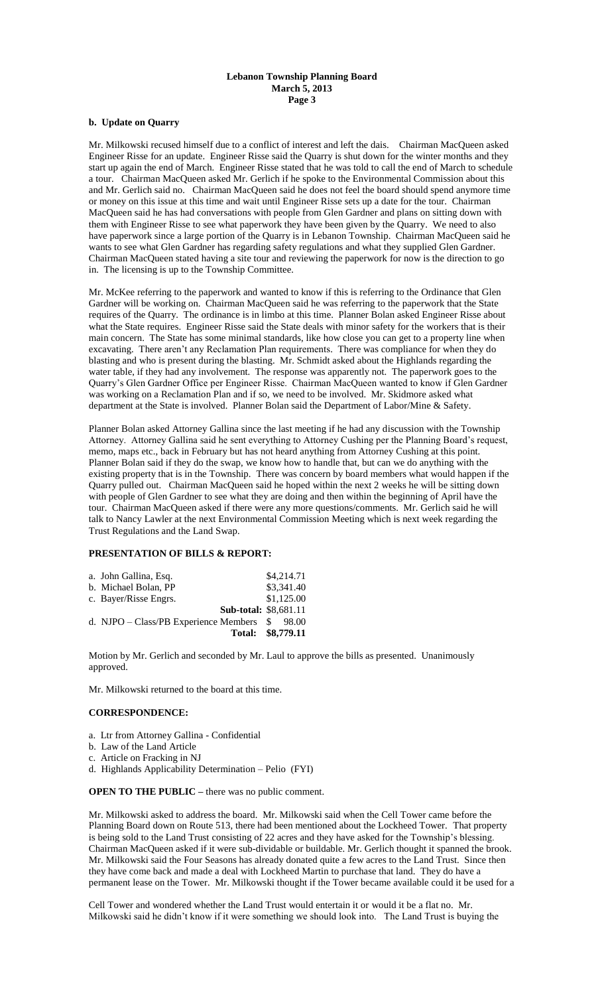#### **Lebanon Township Planning Board March 5, 2013 Page 3**

## **b. Update on Quarry**

Mr. Milkowski recused himself due to a conflict of interest and left the dais. Chairman MacQueen asked Engineer Risse for an update. Engineer Risse said the Quarry is shut down for the winter months and they start up again the end of March. Engineer Risse stated that he was told to call the end of March to schedule a tour. Chairman MacQueen asked Mr. Gerlich if he spoke to the Environmental Commission about this and Mr. Gerlich said no. Chairman MacQueen said he does not feel the board should spend anymore time or money on this issue at this time and wait until Engineer Risse sets up a date for the tour. Chairman MacQueen said he has had conversations with people from Glen Gardner and plans on sitting down with them with Engineer Risse to see what paperwork they have been given by the Quarry. We need to also have paperwork since a large portion of the Quarry is in Lebanon Township. Chairman MacQueen said he wants to see what Glen Gardner has regarding safety regulations and what they supplied Glen Gardner. Chairman MacQueen stated having a site tour and reviewing the paperwork for now is the direction to go in. The licensing is up to the Township Committee.

Mr. McKee referring to the paperwork and wanted to know if this is referring to the Ordinance that Glen Gardner will be working on. Chairman MacQueen said he was referring to the paperwork that the State requires of the Quarry. The ordinance is in limbo at this time. Planner Bolan asked Engineer Risse about what the State requires. Engineer Risse said the State deals with minor safety for the workers that is their main concern. The State has some minimal standards, like how close you can get to a property line when excavating. There aren't any Reclamation Plan requirements. There was compliance for when they do blasting and who is present during the blasting. Mr. Schmidt asked about the Highlands regarding the water table, if they had any involvement. The response was apparently not. The paperwork goes to the Quarry's Glen Gardner Office per Engineer Risse. Chairman MacQueen wanted to know if Glen Gardner was working on a Reclamation Plan and if so, we need to be involved. Mr. Skidmore asked what department at the State is involved. Planner Bolan said the Department of Labor/Mine & Safety.

Planner Bolan asked Attorney Gallina since the last meeting if he had any discussion with the Township Attorney. Attorney Gallina said he sent everything to Attorney Cushing per the Planning Board's request, memo, maps etc., back in February but has not heard anything from Attorney Cushing at this point. Planner Bolan said if they do the swap, we know how to handle that, but can we do anything with the existing property that is in the Township. There was concern by board members what would happen if the Quarry pulled out. Chairman MacQueen said he hoped within the next 2 weeks he will be sitting down with people of Glen Gardner to see what they are doing and then within the beginning of April have the tour. Chairman MacQueen asked if there were any more questions/comments. Mr. Gerlich said he will talk to Nancy Lawler at the next Environmental Commission Meeting which is next week regarding the Trust Regulations and the Land Swap.

# **PRESENTATION OF BILLS & REPORT:**

| a. John Gallina, Esq.                          |  | \$4,214.71        |  |
|------------------------------------------------|--|-------------------|--|
| b. Michael Bolan, PP                           |  | \$3,341.40        |  |
| c. Bayer/Risse Engrs.                          |  | \$1,125.00        |  |
| Sub-total: \$8,681.11                          |  |                   |  |
| d. NJPO – Class/PB Experience Members $$98.00$ |  |                   |  |
|                                                |  | Total: \$8,779.11 |  |

Motion by Mr. Gerlich and seconded by Mr. Laul to approve the bills as presented. Unanimously approved.

Mr. Milkowski returned to the board at this time.

## **CORRESPONDENCE:**

- a. Ltr from Attorney Gallina Confidential
- b. Law of the Land Article
- c. Article on Fracking in NJ
- d. Highlands Applicability Determination Pelio (FYI)

**OPEN TO THE PUBLIC –** there was no public comment.

Mr. Milkowski asked to address the board. Mr. Milkowski said when the Cell Tower came before the Planning Board down on Route 513, there had been mentioned about the Lockheed Tower. That property is being sold to the Land Trust consisting of 22 acres and they have asked for the Township's blessing. Chairman MacQueen asked if it were sub-dividable or buildable. Mr. Gerlich thought it spanned the brook. Mr. Milkowski said the Four Seasons has already donated quite a few acres to the Land Trust. Since then they have come back and made a deal with Lockheed Martin to purchase that land. They do have a permanent lease on the Tower. Mr. Milkowski thought if the Tower became available could it be used for a

Cell Tower and wondered whether the Land Trust would entertain it or would it be a flat no. Mr. Milkowski said he didn't know if it were something we should look into. The Land Trust is buying the